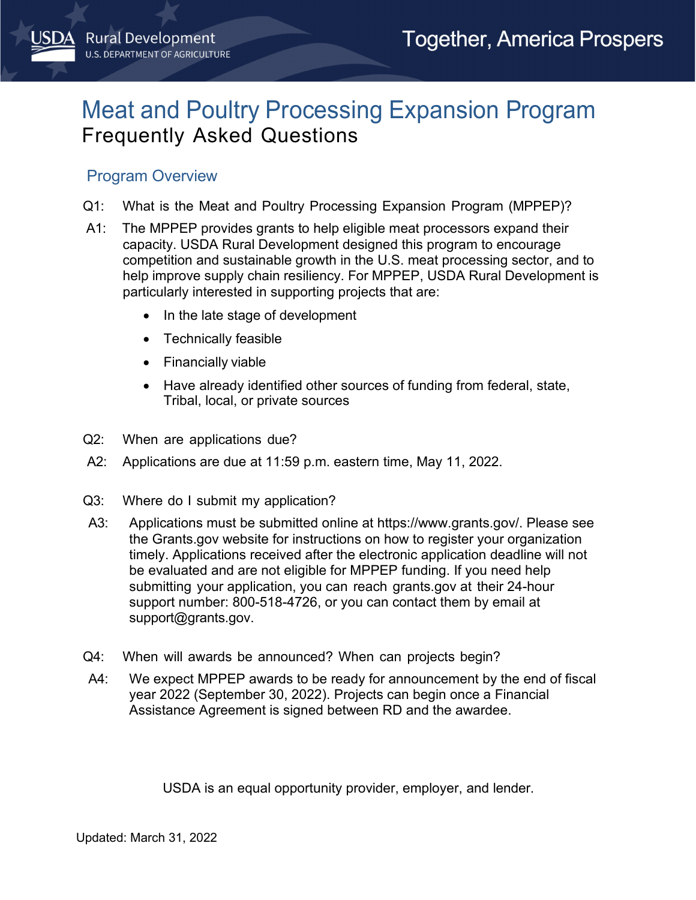# Meat and Poultry Processing Expansion Program Frequently Asked Questions

### Program Overview

- Q1: What is the Meat and Poultry Processing Expansion Program (MPPEP)?
- A1: The MPPEP provides grants to help eligible meat processors expand their capacity. USDA Rural Development designed this program to encourage competition and sustainable growth in the U.S. meat processing sector, and to help improve supply chain resiliency. For MPPEP, USDA Rural Development is particularly interested in supporting projects that are:
	- In the late stage of development
	- Technically feasible
	- Financially viable
	- Have already identified other sources of funding from federal, state, Tribal, local, or private sources
- Q2: When are applications due?
- A2: Applications are due at 11:59 p.m. eastern time, May 11, 2022.
- Q3: Where do I submit my application?
- A3: Applications must be submitted online at [https://www.grants.gov/.](https://www.grants.gov/) Please see the Grants.gov website for instructions on how to register your organization timely. Applications received after the electronic application deadline will not be evaluated and are not eligible for MPPEP funding. If you need help submitting your application, you can reach grants.gov at their 24-hour support number: 800-518-4726, or you can contact them by email at [support@grants.gov.](mailto:support@grants.gov)
- Q4: When will awards be announced? When can projects begin?
- A4: We expect MPPEP awards to be ready for announcement by the end of fiscal year 2022 (September 30, 2022). Projects can begin once a Financial Assistance Agreement is signed between RD and the awardee.

USDA is an equal opportunity provider, employer, and lender.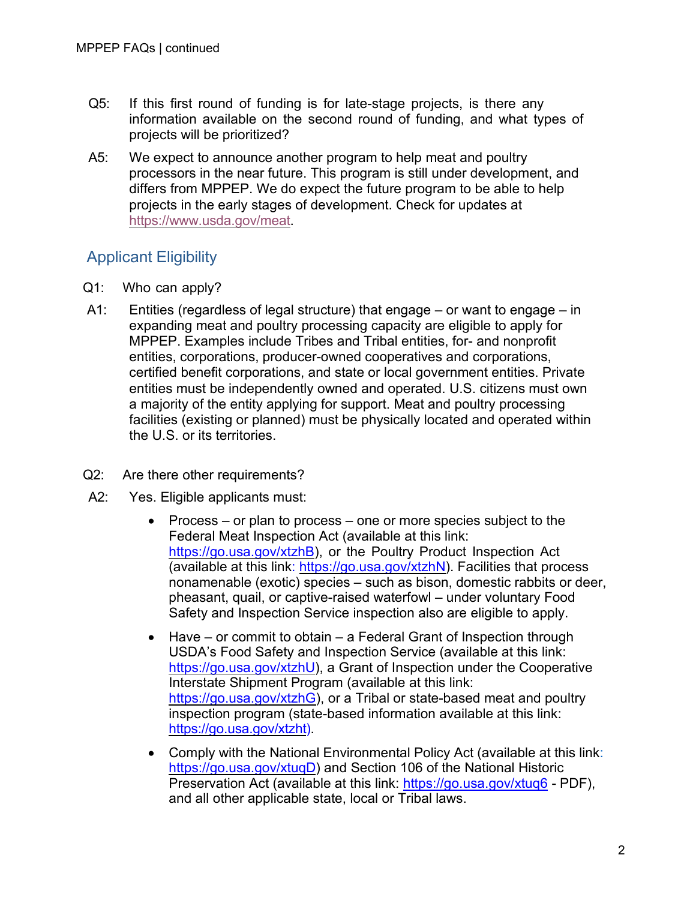- Q5: If this first round of funding is for late-stage projects, is there any information available on the second round of funding, and what types of projects will be prioritized?
- A5: We expect to announce another program to help meat and poultry processors in the near future. This program is still under development, and differs from MPPEP. We do expect the future program to be able to help projects in the early stages of development. Check for updates at [https://www.usda.gov/meat.](https://www.usda.gov/meat)

## Applicant Eligibility

- Q1: Who can apply?
- A1: Entities (regardless of legal structure) that engage or want to engage in expanding meat and poultry processing capacity are eligible to apply for MPPEP. Examples include Tribes and Tribal entities, for- and nonprofit entities, corporations, producer-owned cooperatives and corporations, certified benefit corporations, and state or local government entities. Private entities must be independently owned and operated. U.S. citizens must own a majority of the entity applying for support. Meat and poultry processing facilities (existing or planned) must be physically located and operated within the U.S. or its territories.
- Q2: Are there other requirements?
- A2: Yes. Eligible applicants must:
	- Process or plan to process one or more species subject to the Federal Meat Inspection Act (available at this link: [https://go.usa.gov/xtzhB\)](https://go.usa.gov/xtzhB), or the Poultry Product Inspection Act (available at this link: [https://go.usa.gov/xtzhN\)](https://go.usa.gov/xtzhN). Facilities that process nonamenable (exotic) species – such as bison, domestic rabbits or deer, pheasant, quail, or captive-raised waterfowl – under voluntary Food Safety and Inspection Service inspection also are eligible to apply.
	- Have or commit to obtain a Federal Grant of Inspection through USDA's Food Safety and Inspection Service (available at this link: [https://go.usa.gov/xtzhU\)](https://go.usa.gov/xtzhU), a Grant of Inspection under the Cooperative Interstate Shipment Program (available at this link: [https://go.usa.gov/xtzhG\)](https://go.usa.gov/xtzhG), or a Tribal or state-based meat and poultry inspection program (state-based information available at this link: [https://go.usa.gov/xtzht\)](https://go.usa.gov/xtzht).
	- Comply with the National Environmental Policy Act (available at this link: https://go.usa.gov/xtuqD) and Section 106 of the National Historic Preservation Act (available at this link:<https://go.usa.gov/xtuq6> - PDF), and all other applicable state, local or Tribal laws.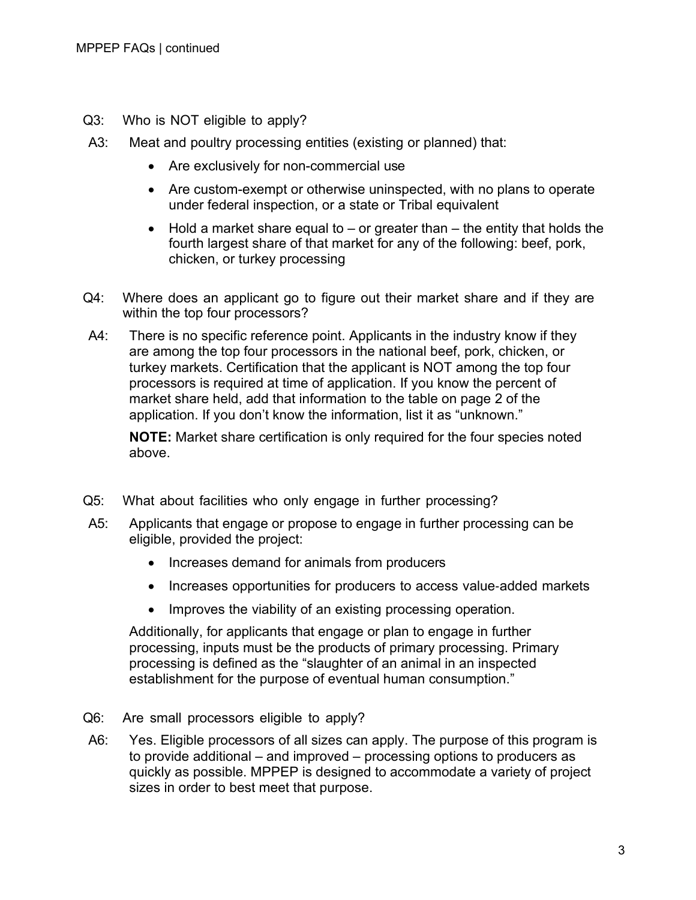- Q3: Who is NOT eligible to apply?
- A3: Meat and poultry processing entities (existing or planned) that:
	- Are exclusively for non-commercial use
	- Are custom-exempt or otherwise uninspected, with no plans to operate under federal inspection, or a state or Tribal equivalent
	- $\bullet$  Hold a market share equal to  $-$  or greater than  $-$  the entity that holds the fourth largest share of that market for any of the following: beef, pork, chicken, or turkey processing
- Q4: Where does an applicant go to figure out their market share and if they are within the top four processors?
- A4: There is no specific reference point. Applicants in the industry know if they are among the top four processors in the national beef, pork, chicken, or turkey markets. Certification that the applicant is NOT among the top four processors is required at time of application. If you know the percent of market share held, add that information to the table on page 2 of the application. If you don't know the information, list it as "unknown."

**NOTE:** Market share certification is only required for the four species noted above.

- Q5: What about facilities who only engage in further processing?
- A5: Applicants that engage or propose to engage in further processing can be eligible, provided the project:
	- Increases demand for animals from producers
	- Increases opportunities for producers to access value-added markets
	- Improves the viability of an existing processing operation.

Additionally, for applicants that engage or plan to engage in further processing, inputs must be the products of primary processing. Primary processing is defined as the "slaughter of an animal in an inspected establishment for the purpose of eventual human consumption."

- Q6: Are small processors eligible to apply?
- A6: Yes. Eligible processors of all sizes can apply. The purpose of this program is to provide additional – and improved – processing options to producers as quickly as possible. MPPEP is designed to accommodate a variety of project sizes in order to best meet that purpose.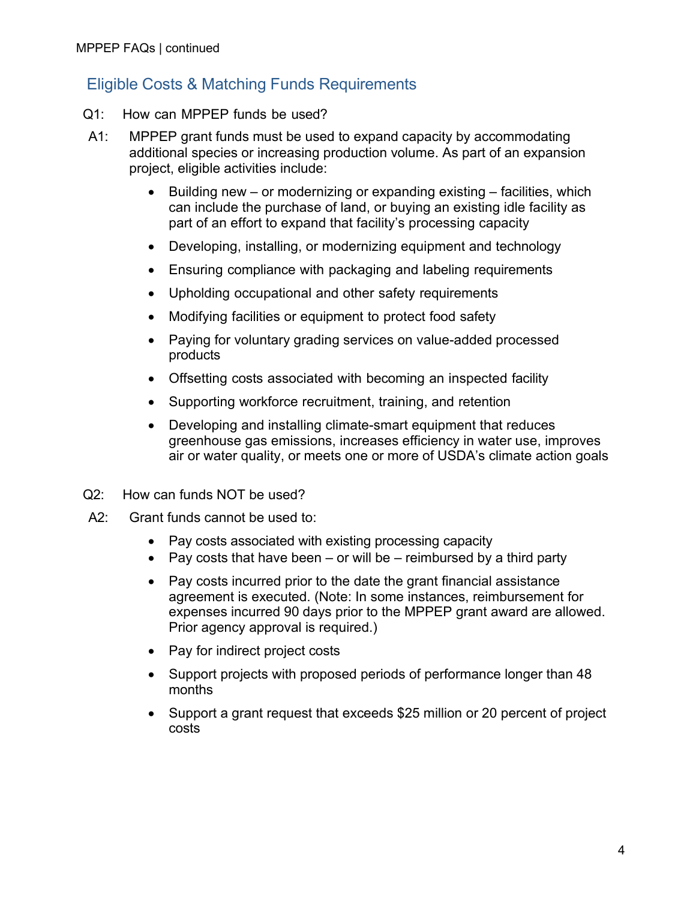## Eligible Costs & Matching Funds Requirements

- Q1: How can MPPEP funds be used?
- A1: MPPEP grant funds must be used to expand capacity by accommodating additional species or increasing production volume. As part of an expansion project, eligible activities include:
	- Building new or modernizing or expanding existing facilities, which can include the purchase of land, or buying an existing idle facility as part of an effort to expand that facility's processing capacity
	- Developing, installing, or modernizing equipment and technology
	- Ensuring compliance with packaging and labeling requirements
	- Upholding occupational and other safety requirements
	- Modifying facilities or equipment to protect food safety
	- Paying for voluntary grading services on value-added processed products
	- Offsetting costs associated with becoming an inspected facility
	- Supporting workforce recruitment, training, and retention
	- Developing and installing climate-smart equipment that reduces greenhouse gas emissions, increases efficiency in water use, improves air or water quality, or meets one or more of USDA's climate action goals
- Q2: How can funds NOT be used?
- A2: Grant funds cannot be used to:
	- Pay costs associated with existing processing capacity
	- Pay costs that have been  $-$  or will be  $-$  reimbursed by a third party
	- Pay costs incurred prior to the date the grant financial assistance agreement is executed. (Note: In some instances, reimbursement for expenses incurred 90 days prior to the MPPEP grant award are allowed. Prior agency approval is required.)
	- Pay for indirect project costs
	- Support projects with proposed periods of performance longer than 48 months
	- Support a grant request that exceeds \$25 million or 20 percent of project costs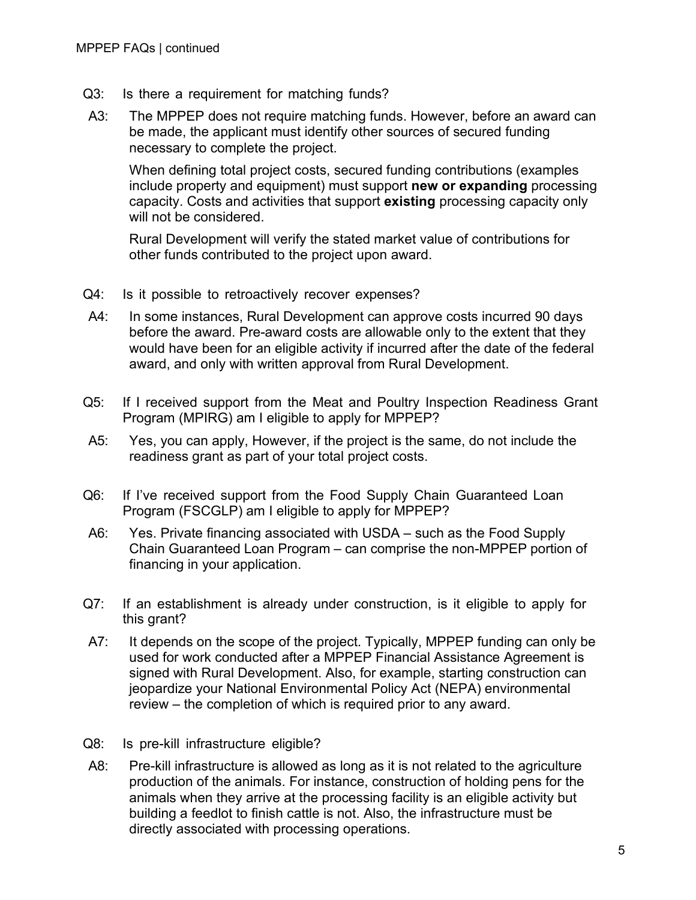- Q3: Is there a requirement for matching funds?
- A3: The MPPEP does not require matching funds. However, before an award can be made, the applicant must identify other sources of secured funding necessary to complete the project.

When defining total project costs, secured funding contributions (examples include property and equipment) must support **new or expanding** processing capacity. Costs and activities that support **existing** processing capacity only will not be considered.

Rural Development will verify the stated market value of contributions for other funds contributed to the project upon award.

- Q4: Is it possible to retroactively recover expenses?
- A4: In some instances, Rural Development can approve costs incurred 90 days before the award. Pre-award costs are allowable only to the extent that they would have been for an eligible activity if incurred after the date of the federal award, and only with written approval from Rural Development.
- Q5: If I received support from the Meat and Poultry Inspection Readiness Grant Program (MPIRG) am I eligible to apply for MPPEP?
- A5: Yes, you can apply, However, if the project is the same, do not include the readiness grant as part of your total project costs.
- Q6: If I've received support from the Food Supply Chain Guaranteed Loan Program (FSCGLP) am I eligible to apply for MPPEP?
- A6: Yes. Private financing associated with USDA such as the Food Supply Chain Guaranteed Loan Program – can comprise the non-MPPEP portion of financing in your application.
- Q7: If an establishment is already under construction, is it eligible to apply for this grant?
- A7: It depends on the scope of the project. Typically, MPPEP funding can only be used for work conducted after a MPPEP Financial Assistance Agreement is signed with Rural Development. Also, for example, starting construction can jeopardize your National Environmental Policy Act (NEPA) environmental review – the completion of which is required prior to any award.
- Q8: Is pre-kill infrastructure eligible?
- A8: Pre-kill infrastructure is allowed as long as it is not related to the agriculture production of the animals. For instance, construction of holding pens for the animals when they arrive at the processing facility is an eligible activity but building a feedlot to finish cattle is not. Also, the infrastructure must be directly associated with processing operations.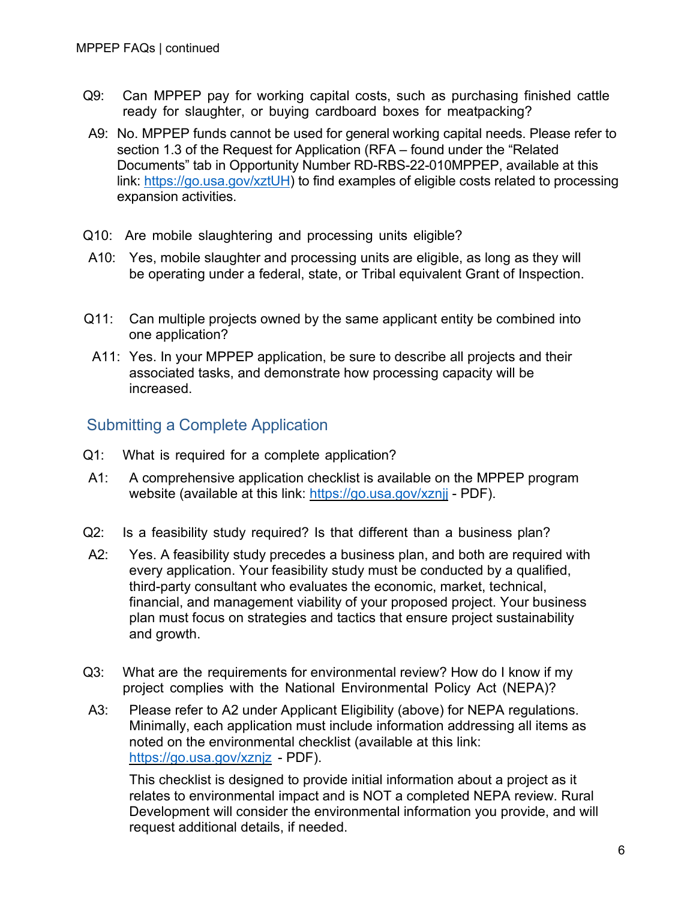- Q9: Can MPPEP pay for working capital costs, such as purchasing finished cattle ready for slaughter, or buying cardboard boxes for meatpacking?
- A9: No. MPPEP funds cannot be used for general working capital needs. Please refer to section 1.3 of the Request for Application (RFA – found under the "Related Documents" tab in Opportunity Number RD-RBS-22-010MPPEP, available at this link: [https://go.usa.gov/xztUH\)](https://go.usa.gov/xztUH) to find examples of eligible costs related to processing expansion activities.
- Q10: Are mobile slaughtering and processing units eligible?
- A10: Yes, mobile slaughter and processing units are eligible, as long as they will be operating under a federal, state, or Tribal equivalent Grant of Inspection.
- Q11: Can multiple projects owned by the same applicant entity be combined into one application?
- A11: Yes. In your MPPEP application, be sure to describe all projects and their associated tasks, and demonstrate how processing capacity will be increased.

#### Submitting a Complete Application

- Q1: What is required for a complete application?
- A1: A comprehensive application checklist is available on the MPPEP program website (available at this link:<https://go.usa.gov/xznjj> - PDF).
- Q2: Is a feasibility study required? Is that different than a business plan?
- A2: Yes. A feasibility study precedes a business plan, and both are required with every application. Your feasibility study must be conducted by a qualified, third-party consultant who evaluates the economic, market, technical, financial, and management viability of your proposed project. Your business plan must focus on strategies and tactics that ensure project sustainability and growth.
- Q3: What are the requirements for environmental review? How do I know if my project complies with the National Environmental Policy Act (NEPA)?
- A3: Please refer to A2 under Applicant Eligibility (above) for NEPA regulations. Minimally, each application must include information addressing all items as noted on the environmental checklist (available at this link: <https://go.usa.gov/xznjz> - PDF).

This checklist is designed to provide initial information about a project as it relates to environmental impact and is NOT a completed NEPA review. Rural Development will consider the environmental information you provide, and will request additional details, if needed.